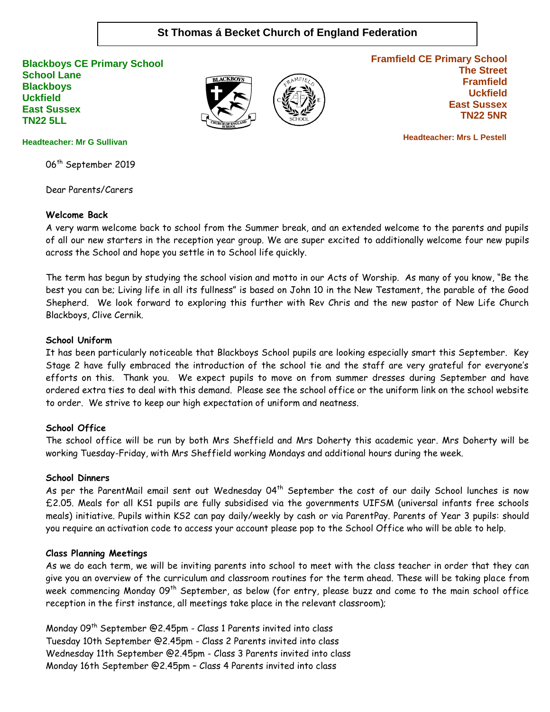# **St Thomas á Becket Church of England Federation**

**Blackboys CE Primary School School Lane Blackboys Uckfield East Sussex TN22 5LL**





**Framfield CE Primary School The Street Framfield Uckfield East Sussex TN22 5NR**

 **Headteacher: Mrs L Pestell**

#### **Headteacher: Mr G Sullivan**

06<sup>th</sup> September 2019

Dear Parents/Carers

#### **Welcome Back**

A very warm welcome back to school from the Summer break, and an extended welcome to the parents and pupils of all our new starters in the reception year group. We are super excited to additionally welcome four new pupils across the School and hope you settle in to School life quickly.

The term has begun by studying the school vision and motto in our Acts of Worship. As many of you know, "Be the best you can be; Living life in all its fullness" is based on John 10 in the New Testament, the parable of the Good Shepherd. We look forward to exploring this further with Rev Chris and the new pastor of New Life Church Blackboys, Clive Cernik.

#### **School Uniform**

It has been particularly noticeable that Blackboys School pupils are looking especially smart this September. Key Stage 2 have fully embraced the introduction of the school tie and the staff are very grateful for everyone's efforts on this. Thank you. We expect pupils to move on from summer dresses during September and have ordered extra ties to deal with this demand. Please see the school office or the uniform link on the school website to order. We strive to keep our high expectation of uniform and neatness.

#### **School Office**

The school office will be run by both Mrs Sheffield and Mrs Doherty this academic year. Mrs Doherty will be working Tuesday-Friday, with Mrs Sheffield working Mondays and additional hours during the week.

#### **School Dinners**

As per the ParentMail email sent out Wednesday  $04<sup>th</sup>$  September the cost of our daily School lunches is now £2.05. Meals for all KS1 pupils are fully subsidised via the governments UIFSM (universal infants free schools meals) initiative. Pupils within KS2 can pay daily/weekly by cash or via ParentPay. Parents of Year 3 pupils: should you require an activation code to access your account please pop to the School Office who will be able to help.

#### **Class Planning Meetings**

As we do each term, we will be inviting parents into school to meet with the class teacher in order that they can give you an overview of the curriculum and classroom routines for the term ahead. These will be taking place from week commencing Monday 09<sup>th</sup> September, as below (for entry, please buzz and come to the main school office reception in the first instance, all meetings take place in the relevant classroom);

Monday 09<sup>th</sup> September @2.45pm - Class 1 Parents invited into class Tuesday 10th September @2.45pm - Class 2 Parents invited into class Wednesday 11th September @2.45pm - Class 3 Parents invited into class Monday 16th September @2.45pm – Class 4 Parents invited into class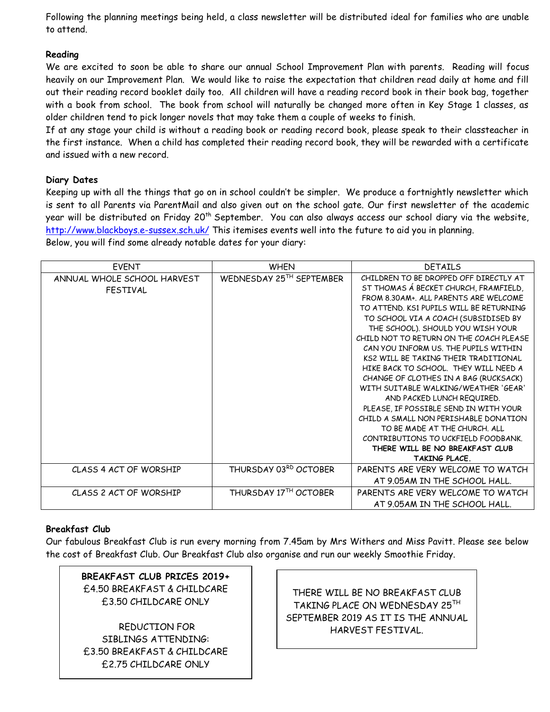Following the planning meetings being held, a class newsletter will be distributed ideal for families who are unable to attend.

## **Reading**

We are excited to soon be able to share our annual School Improvement Plan with parents. Reading will focus heavily on our Improvement Plan. We would like to raise the expectation that children read daily at home and fill out their reading record booklet daily too. All children will have a reading record book in their book bag, together with a book from school. The book from school will naturally be changed more often in Key Stage 1 classes, as older children tend to pick longer novels that may take them a couple of weeks to finish.

If at any stage your child is without a reading book or reading record book, please speak to their classteacher in the first instance. When a child has completed their reading record book, they will be rewarded with a certificate and issued with a new record.

## **Diary Dates**

Keeping up with all the things that go on in school couldn't be simpler. We produce a fortnightly newsletter which is sent to all Parents via ParentMail and also given out on the school gate. Our first newsletter of the academic year will be distributed on Friday 20<sup>th</sup> September. You can also always access our school diary via the website, <http://www.blackboys.e-sussex.sch.uk/> This itemises events well into the future to aid you in planning. Below, you will find some already notable dates for your diary:

| <b>EVENT</b>                | <b>WHEN</b>              | <b>DETAILS</b>                          |  |
|-----------------------------|--------------------------|-----------------------------------------|--|
| ANNUAL WHOLE SCHOOL HARVEST | WEDNESDAY 25TH SEPTEMBER | CHILDREN TO BE DROPPED OFF DIRECTLY AT  |  |
| <b>FESTIVAL</b>             |                          | ST THOMAS Á BECKET CHURCH, FRAMFIELD,   |  |
|                             |                          | FROM 8.30AM+. ALL PARENTS ARE WELCOME   |  |
|                             |                          | TO ATTEND. KS1 PUPILS WILL BE RETURNING |  |
|                             |                          | TO SCHOOL VIA A COACH (SUBSIDISED BY    |  |
|                             |                          | THE SCHOOL). SHOULD YOU WISH YOUR       |  |
|                             |                          | CHILD NOT TO RETURN ON THE COACH PLEASE |  |
|                             |                          | CAN YOU INFORM US. THE PUPILS WITHIN    |  |
|                             |                          | KS2 WILL BF TAKING THFIR TRADITIONAL    |  |
|                             |                          | HIKE BACK TO SCHOOL. THEY WILL NEED A   |  |
|                             |                          | CHANGE OF CLOTHES IN A BAG (RUCKSACK)   |  |
|                             |                          | WITH SUITABLE WALKING/WEATHER 'GEAR'    |  |
|                             |                          | AND PACKED LUNCH REQUIRED.              |  |
|                             |                          | PLEASE, IF POSSIBLE SEND IN WITH YOUR   |  |
|                             |                          | CHILD A SMALL NON PERISHABLE DONATION   |  |
|                             |                          | TO BE MADE AT THE CHURCH. ALL           |  |
|                             |                          | CONTRIBUTIONS TO UCKFIELD FOODBANK.     |  |
|                             |                          | THERE WILL BE NO BREAKFAST CLUB         |  |
|                             |                          | <b>TAKING PLACE.</b>                    |  |
| CLASS 4 ACT OF WORSHIP      | THURSDAY 03RD OCTOBER    | PARENTS ARE VERY WELCOME TO WATCH       |  |
|                             |                          | AT 9.05AM IN THE SCHOOL HALL.           |  |
| CLASS 2 ACT OF WORSHIP      | THURSDAY 17TH OCTOBER    | PARENTS ARE VERY WELCOME TO WATCH       |  |
|                             |                          | AT 9.05AM IN THE SCHOOL HALL.           |  |

## **Breakfast Club**

Our fabulous Breakfast Club is run every morning from 7.45am by Mrs Withers and Miss Pavitt. Please see below the cost of Breakfast Club. Our Breakfast Club also organise and run our weekly Smoothie Friday.

# **BREAKFAST CLUB PRICES 2019+** £4.50 BREAKFAST & CHILDCARE £3.50 CHILDCARE ONLY

REDUCTION FOR SIBLINGS ATTENDING: £3.50 BREAKFAST & CHILDCARE £2.75 CHILDCARE ONLY

THERE WILL BE NO BREAKFAST CLUB TAKING PLACE ON WEDNESDAY 25TH SEPTEMBER 2019 AS IT IS THE ANNUAL HARVEST FESTIVAL.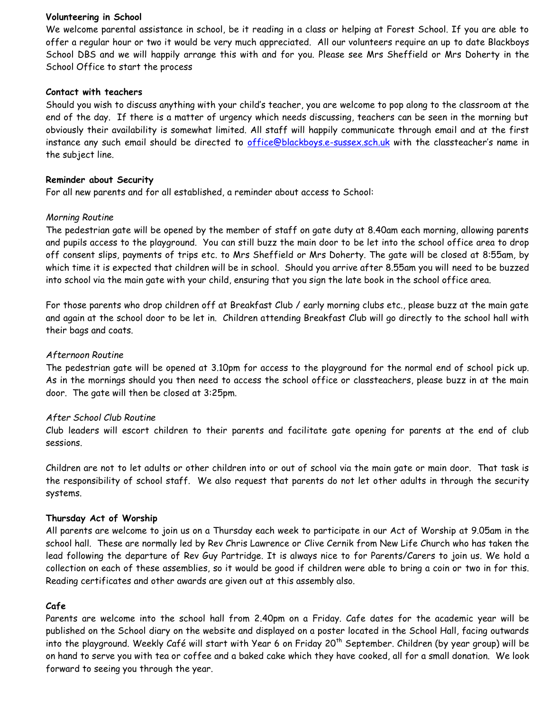#### **Volunteering in School**

We welcome parental assistance in school, be it reading in a class or helping at Forest School. If you are able to offer a regular hour or two it would be very much appreciated. All our volunteers require an up to date Blackboys School DBS and we will happily arrange this with and for you. Please see Mrs Sheffield or Mrs Doherty in the School Office to start the process

#### **Contact with teachers**

Should you wish to discuss anything with your child's teacher, you are welcome to pop along to the classroom at the end of the day. If there is a matter of urgency which needs discussing, teachers can be seen in the morning but obviously their availability is somewhat limited. All staff will happily communicate through email and at the first instance any such email should be directed to [office@blackboys.e-sussex.sch.uk](mailto:office@blackboys.e-sussex.sch.uk) with the classteacher's name in the subject line.

#### **Reminder about Security**

For all new parents and for all established, a reminder about access to School:

### *Morning Routine*

The pedestrian gate will be opened by the member of staff on gate duty at 8.40am each morning, allowing parents and pupils access to the playground. You can still buzz the main door to be let into the school office area to drop off consent slips, payments of trips etc. to Mrs Sheffield or Mrs Doherty. The gate will be closed at 8:55am, by which time it is expected that children will be in school. Should you arrive after 8.55am you will need to be buzzed into school via the main gate with your child, ensuring that you sign the late book in the school office area.

For those parents who drop children off at Breakfast Club / early morning clubs etc., please buzz at the main gate and again at the school door to be let in. Children attending Breakfast Club will go directly to the school hall with their bags and coats.

#### *Afternoon Routine*

The pedestrian gate will be opened at 3.10pm for access to the playground for the normal end of school pick up. As in the mornings should you then need to access the school office or classteachers, please buzz in at the main door. The gate will then be closed at 3:25pm.

### *After School Club Routine*

Club leaders will escort children to their parents and facilitate gate opening for parents at the end of club sessions.

Children are not to let adults or other children into or out of school via the main gate or main door. That task is the responsibility of school staff. We also request that parents do not let other adults in through the security systems.

### **Thursday Act of Worship**

All parents are welcome to join us on a Thursday each week to participate in our Act of Worship at 9.05am in the school hall. These are normally led by Rev Chris Lawrence or Clive Cernik from New Life Church who has taken the lead following the departure of Rev Guy Partridge. It is always nice to for Parents/Carers to join us. We hold a collection on each of these assemblies, so it would be good if children were able to bring a coin or two in for this. Reading certificates and other awards are given out at this assembly also.

### **Cafe**

Parents are welcome into the school hall from 2.40pm on a Friday. Cafe dates for the academic year will be published on the School diary on the website and displayed on a poster located in the School Hall, facing outwards into the playground. Weekly Café will start with Year 6 on Friday 20<sup>th</sup> September. Children (by year group) will be on hand to serve you with tea or coffee and a baked cake which they have cooked, all for a small donation. We look forward to seeing you through the year.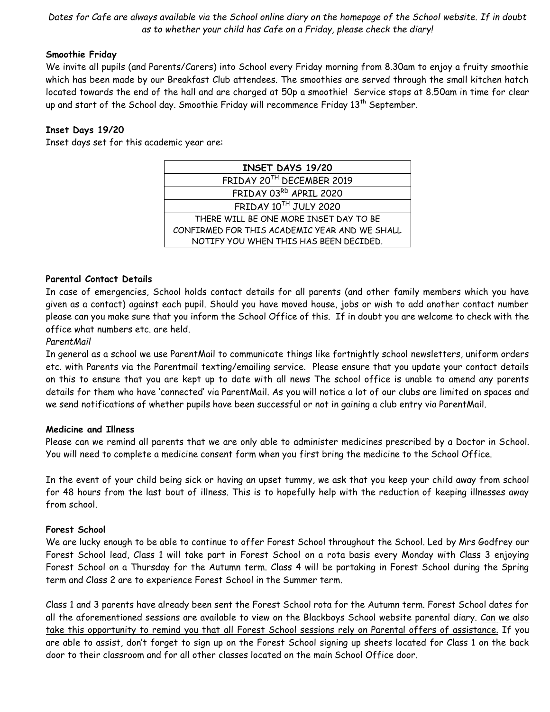*Dates for Cafe are always available via the School online diary on the homepage of the School website. If in doubt as to whether your child has Cafe on a Friday, please check the diary!*

### **Smoothie Friday**

We invite all pupils (and Parents/Carers) into School every Friday morning from 8.30am to enjoy a fruity smoothie which has been made by our Breakfast Club attendees. The smoothies are served through the small kitchen hatch located towards the end of the hall and are charged at 50p a smoothie! Service stops at 8.50am in time for clear up and start of the School day. Smoothie Friday will recommence Friday 13<sup>th</sup> September.

## **Inset Days 19/20**

Inset days set for this academic year are:

| <b>INSET DAYS 19/20</b>                       |  |  |  |
|-----------------------------------------------|--|--|--|
| FRIDAY 20TH DECEMBER 2019                     |  |  |  |
| FRIDAY 03RD APRIL 2020                        |  |  |  |
| FRIDAY 10TH JULY 2020                         |  |  |  |
| THERE WILL BE ONE MORE INSET DAY TO BE        |  |  |  |
| CONFIRMED FOR THIS ACADEMIC YEAR AND WE SHALL |  |  |  |
| NOTIFY YOU WHEN THIS HAS BEEN DECIDED.        |  |  |  |

### **Parental Contact Details**

In case of emergencies, School holds contact details for all parents (and other family members which you have given as a contact) against each pupil. Should you have moved house, jobs or wish to add another contact number please can you make sure that you inform the School Office of this. If in doubt you are welcome to check with the office what numbers etc. are held.

### *ParentMail*

In general as a school we use ParentMail to communicate things like fortnightly school newsletters, uniform orders etc. with Parents via the Parentmail texting/emailing service. Please ensure that you update your contact details on this to ensure that you are kept up to date with all news The school office is unable to amend any parents details for them who have 'connected' via ParentMail. As you will notice a lot of our clubs are limited on spaces and we send notifications of whether pupils have been successful or not in gaining a club entry via ParentMail.

### **Medicine and Illness**

Please can we remind all parents that we are only able to administer medicines prescribed by a Doctor in School. You will need to complete a medicine consent form when you first bring the medicine to the School Office.

In the event of your child being sick or having an upset tummy, we ask that you keep your child away from school for 48 hours from the last bout of illness. This is to hopefully help with the reduction of keeping illnesses away from school.

### **Forest School**

We are lucky enough to be able to continue to offer Forest School throughout the School. Led by Mrs Godfrey our Forest School lead, Class 1 will take part in Forest School on a rota basis every Monday with Class 3 enjoying Forest School on a Thursday for the Autumn term. Class 4 will be partaking in Forest School during the Spring term and Class 2 are to experience Forest School in the Summer term.

Class 1 and 3 parents have already been sent the Forest School rota for the Autumn term. Forest School dates for all the aforementioned sessions are available to view on the Blackboys School website parental diary. Can we also take this opportunity to remind you that all Forest School sessions rely on Parental offers of assistance. If you are able to assist, don't forget to sign up on the Forest School signing up sheets located for Class 1 on the back door to their classroom and for all other classes located on the main School Office door.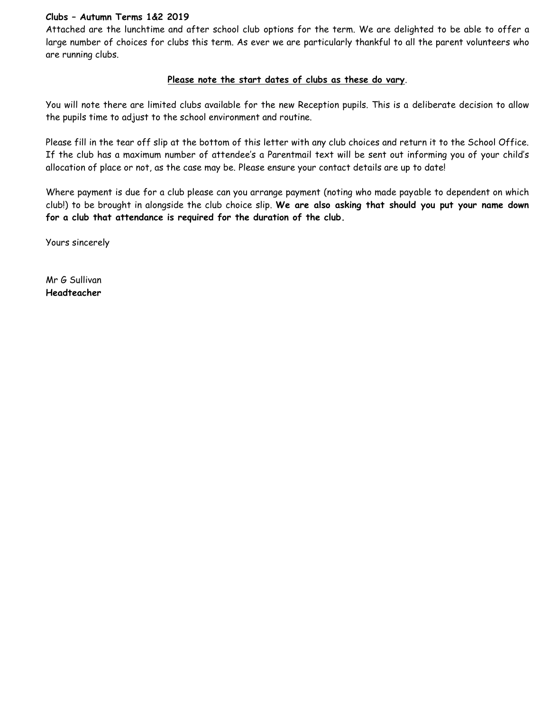### **Clubs – Autumn Terms 1&2 2019**

Attached are the lunchtime and after school club options for the term. We are delighted to be able to offer a large number of choices for clubs this term. As ever we are particularly thankful to all the parent volunteers who are running clubs.

### **Please note the start dates of clubs as these do vary**.

You will note there are limited clubs available for the new Reception pupils. This is a deliberate decision to allow the pupils time to adjust to the school environment and routine.

Please fill in the tear off slip at the bottom of this letter with any club choices and return it to the School Office. If the club has a maximum number of attendee's a Parentmail text will be sent out informing you of your child's allocation of place or not, as the case may be. Please ensure your contact details are up to date!

Where payment is due for a club please can you arrange payment (noting who made payable to dependent on which club!) to be brought in alongside the club choice slip. **We are also asking that should you put your name down for a club that attendance is required for the duration of the club.**

Yours sincerely

Mr G Sullivan **Headteacher**